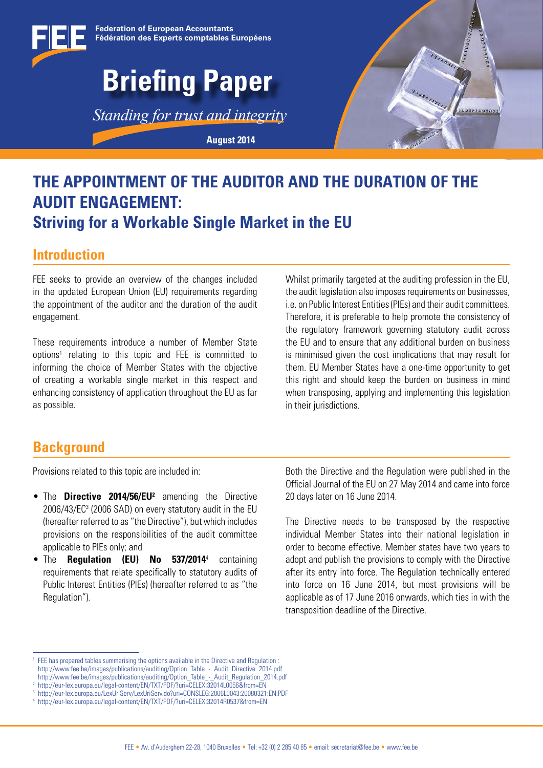

## **THE APPOINTMENT OF THE AUDITOR AND THE DURATION OF THE AUDIT ENGAGEMENT: Striving for a Workable Single Market in the EU**

### **Introduction**

FEE seeks to provide an overview of the changes included in the updated European Union (EU) requirements regarding the appointment of the auditor and the duration of the audit engagement.

These requirements introduce a number of Member State options1 relating to this topic and FEE is committed to informing the choice of Member States with the objective of creating a workable single market in this respect and enhancing consistency of application throughout the EU as far as possible.

Whilst primarily targeted at the auditing profession in the EU. the audit legislation also imposes requirements on businesses, i.e. on Public Interest Entities (PIEs) and their audit committees. Therefore, it is preferable to help promote the consistency of the regulatory framework governing statutory audit across the EU and to ensure that any additional burden on business is minimised given the cost implications that may result for them. EU Member States have a one-time opportunity to get this right and should keep the burden on business in mind when transposing, applying and implementing this legislation in their jurisdictions.

## **Background**

Provisions related to this topic are included in:

- **•** The **Directive 2014/56/EU**<sup>2</sup> amending the Directive 2006/43/EC3 (2006 SAD) on every statutory audit in the EU (hereafter referred to as "the Directive"), but which includes provisions on the responsibilities of the audit committee applicable to PIEs only; and
- The **Regulation (EU) No 537/2014**<sup>4</sup> containing requirements that relate specifically to statutory audits of Public Interest Entities (PIEs) (hereafter referred to as "the Regulation").

Both the Directive and the Regulation were published in the Official Journal of the EU on 27 May 2014 and came into force 20 days later on 16 June 2014.

The Directive needs to be transposed by the respective individual Member States into their national legislation in order to become effective. Member states have two years to adopt and publish the provisions to comply with the Directive after its entry into force. The Regulation technically entered into force on 16 June 2014, but most provisions will be applicable as of 17 June 2016 onwards, which ties in with the transposition deadline of the Directive.

<sup>&</sup>lt;sup>1</sup> FEE has prepared tables summarising the options available in the Directive and Regulation : http://www.fee.be/images/publications/auditing/Option\_Table\_-\_Audit\_Directive\_2014.pdf http://www.fee.be/images/publications/auditing/Option\_Table\_-\_Audit\_Regulation\_2014.pdf

<sup>2</sup> http://eur-lex.europa.eu/legal-content/EN/TXT/PDF/?uri=CELEX:32014L0056&from=EN

<sup>3</sup> http://eur-lex.europa.eu/LexUriServ/LexUriServ.do?uri=CONSLEG:2006L0043:20080321:EN:PDF

<sup>4</sup> http://eur-lex.europa.eu/legal-content/EN/TXT/PDF/?uri=CELEX:32014R0537&from=EN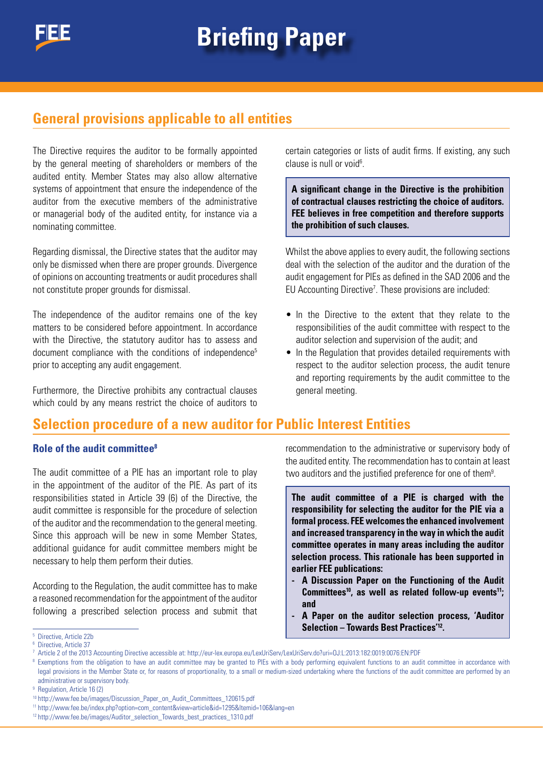## **General provisions applicable to all entities**

The Directive requires the auditor to be formally appointed by the general meeting of shareholders or members of the audited entity. Member States may also allow alternative systems of appointment that ensure the independence of the auditor from the executive members of the administrative or managerial body of the audited entity, for instance via a nominating committee.

Regarding dismissal, the Directive states that the auditor may only be dismissed when there are proper grounds. Divergence of opinions on accounting treatments or audit procedures shall not constitute proper grounds for dismissal.

The independence of the auditor remains one of the key matters to be considered before appointment. In accordance with the Directive, the statutory auditor has to assess and document compliance with the conditions of independence<sup>5</sup> prior to accepting any audit engagement.

Furthermore, the Directive prohibits any contractual clauses which could by any means restrict the choice of auditors to certain categories or lists of audit firms. If existing, any such clause is null or void<sup>6</sup>.

**A significant change in the Directive is the prohibition of contractual clauses restricting the choice of auditors. FEE believes in free competition and therefore supports the prohibition of such clauses.** 

Whilst the above applies to every audit, the following sections deal with the selection of the auditor and the duration of the audit engagement for PIEs as defined in the SAD 2006 and the EU Accounting Directive<sup>7</sup>. These provisions are included:

- In the Directive to the extent that they relate to the responsibilities of the audit committee with respect to the auditor selection and supervision of the audit; and
- In the Regulation that provides detailed requirements with respect to the auditor selection process, the audit tenure and reporting requirements by the audit committee to the general meeting.

## **Selection procedure of a new auditor for Public Interest Entities**

#### **Role of the audit committee8**

The audit committee of a PIE has an important role to play in the appointment of the auditor of the PIE. As part of its responsibilities stated in Article 39 (6) of the Directive, the audit committee is responsible for the procedure of selection of the auditor and the recommendation to the general meeting. Since this approach will be new in some Member States, additional guidance for audit committee members might be necessary to help them perform their duties.

According to the Regulation, the audit committee has to make a reasoned recommendation for the appointment of the auditor following a prescribed selection process and submit that recommendation to the administrative or supervisory body of the audited entity. The recommendation has to contain at least two auditors and the justified preference for one of them<sup>9</sup>.

**The audit committee of a PIE is charged with the responsibility for selecting the auditor for the PIE via a formal process. FEE welcomes the enhanced involvement and increased transparency in the way in which the audit committee operates in many areas including the auditor selection process. This rationale has been supported in earlier FEE publications:**

- **- A Discussion Paper on the Functioning of the Audit**  Committees<sup>10</sup>, as well as related follow-up events<sup>11</sup>; **and**
- **- A Paper on the auditor selection process, 'Auditor Selection – Towards Best Practices'12.**

<sup>5</sup> Directive, Article 22b

<sup>&</sup>lt;sup>6</sup> Directive, Article 37

<sup>7</sup> Article 2 of the 2013 Accounting Directive accessible at: http://eur-lex.europa.eu/LexUriServ/LexUriServ.do?uri=OJ:L:2013:182:0019:0076:EN:PDF

<sup>&</sup>lt;sup>8</sup> Exemptions from the obligation to have an audit committee may be granted to PIEs with a body performing equivalent functions to an audit committee in accordance with legal provisions in the Member State or, for reasons of proportionality, to a small or medium-sized undertaking where the functions of the audit committee are performed by an administrative or supervisory body.

<sup>&</sup>lt;sup>9</sup> Regulation, Article 16 (2)

<sup>10</sup> http://www.fee.be/images/Discussion\_Paper\_on\_Audit\_Committees\_120615.pdf

<sup>11</sup> http://www.fee.be/index.php?option=com\_content&view=article&id=1295&Itemid=106&lang=en

<sup>&</sup>lt;sup>12</sup> http://www.fee.be/images/Auditor\_selection\_Towards\_best\_practices\_1310.pdf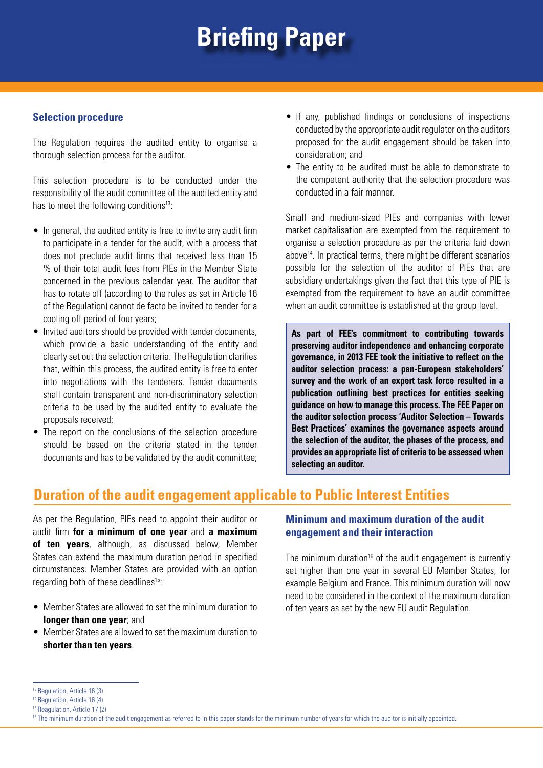## **Briefing Paper**

#### **Selection procedure**

The Regulation requires the audited entity to organise a thorough selection process for the auditor.

This selection procedure is to be conducted under the responsibility of the audit committee of the audited entity and has to meet the following conditions<sup>13</sup>:

- In general, the audited entity is free to invite any audit firm to participate in a tender for the audit, with a process that does not preclude audit firms that received less than 15 % of their total audit fees from PIEs in the Member State concerned in the previous calendar year. The auditor that has to rotate off (according to the rules as set in Article 16 of the Regulation) cannot de facto be invited to tender for a cooling off period of four years;
- Invited auditors should be provided with tender documents, which provide a basic understanding of the entity and clearly set out the selection criteria. The Regulation clarifies that, within this process, the audited entity is free to enter into negotiations with the tenderers. Tender documents shall contain transparent and non-discriminatory selection criteria to be used by the audited entity to evaluate the proposals received;
- The report on the conclusions of the selection procedure should be based on the criteria stated in the tender documents and has to be validated by the audit committee;
- If any, published findings or conclusions of inspections conducted by the appropriate audit regulator on the auditors proposed for the audit engagement should be taken into consideration; and
- The entity to be audited must be able to demonstrate to the competent authority that the selection procedure was conducted in a fair manner.

Small and medium-sized PIEs and companies with lower market capitalisation are exempted from the requirement to organise a selection procedure as per the criteria laid down above14. In practical terms, there might be different scenarios possible for the selection of the auditor of PIEs that are subsidiary undertakings given the fact that this type of PIE is exempted from the requirement to have an audit committee when an audit committee is established at the group level.

**As part of FEE's commitment to contributing towards preserving auditor independence and enhancing corporate governance, in 2013 FEE took the initiative to reflect on the auditor selection process: a pan-European stakeholders' survey and the work of an expert task force resulted in a publication outlining best practices for entities seeking guidance on how to manage this process. The FEE Paper on the auditor selection process 'Auditor Selection – Towards Best Practices' examines the governance aspects around the selection of the auditor, the phases of the process, and provides an appropriate list of criteria to be assessed when selecting an auditor.**

## **Duration of the audit engagement applicable to Public Interest Entities**

As per the Regulation, PIEs need to appoint their auditor or audit firm **for a minimum of one year** and **a maximum of ten years**, although, as discussed below, Member States can extend the maximum duration period in specified circumstances. Member States are provided with an option regarding both of these deadlines<sup>15</sup>:

- Member States are allowed to set the minimum duration to **longer than one year**; and
- Member States are allowed to set the maximum duration to **shorter than ten years**.

#### **Minimum and maximum duration of the audit engagement and their interaction**

The minimum duration<sup>16</sup> of the audit engagement is currently set higher than one year in several EU Member States, for example Belgium and France. This minimum duration will now need to be considered in the context of the maximum duration of ten years as set by the new EU audit Regulation.

<sup>&</sup>lt;sup>13</sup> Regulation, Article 16 (3)

<sup>&</sup>lt;sup>14</sup> Regulation, Article 16 (4)

<sup>15</sup> Reagulation, Article 17 (2)

<sup>&</sup>lt;sup>16</sup> The minimum duration of the audit engagement as referred to in this paper stands for the minimum number of years for which the auditor is initially appointed.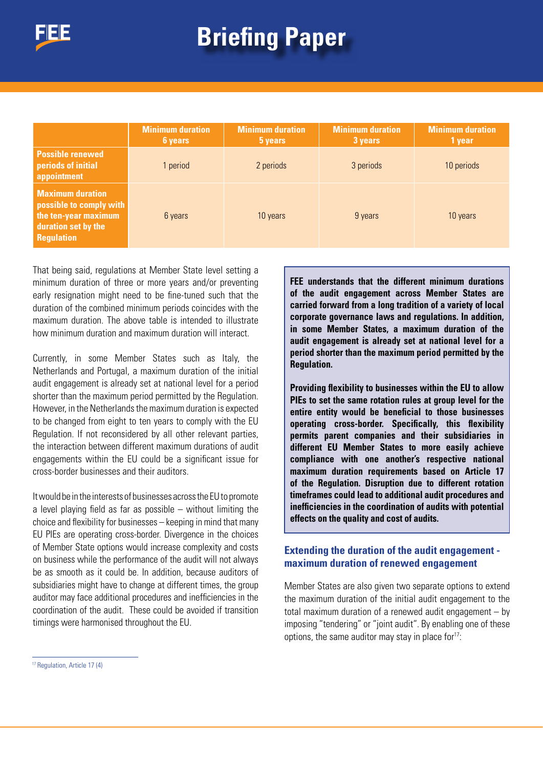# **Briefing Paper Briefing Paper**

|                                                                                                                        | <b>Minimum duration</b><br>6 years | <b>Minimum duration</b><br>5 years | <b>Minimum duration</b><br>3 years | <b>Minimum duration</b><br>1 year |
|------------------------------------------------------------------------------------------------------------------------|------------------------------------|------------------------------------|------------------------------------|-----------------------------------|
| <b>Possible renewed</b><br>periods of initial<br>appointment                                                           | 1 period                           | 2 periods                          | 3 periods                          | 10 periods                        |
| <b>Maximum duration</b><br>possible to comply with<br>the ten-year maximum<br>duration set by the<br><b>Regulation</b> | 6 years                            | 10 years                           | 9 years                            | 10 years                          |

That being said, regulations at Member State level setting a minimum duration of three or more years and/or preventing early resignation might need to be fine-tuned such that the duration of the combined minimum periods coincides with the maximum duration. The above table is intended to illustrate how minimum duration and maximum duration will interact.

Currently, in some Member States such as Italy, the Netherlands and Portugal, a maximum duration of the initial audit engagement is already set at national level for a period shorter than the maximum period permitted by the Regulation. However, in the Netherlands the maximum duration is expected to be changed from eight to ten years to comply with the EU Regulation. If not reconsidered by all other relevant parties, the interaction between different maximum durations of audit engagements within the EU could be a significant issue for cross-border businesses and their auditors.

It would be in the interests of businesses across the EU to promote a level playing field as far as possible – without limiting the choice and flexibility for businesses – keeping in mind that many EU PIEs are operating cross-border. Divergence in the choices of Member State options would increase complexity and costs on business while the performance of the audit will not always be as smooth as it could be. In addition, because auditors of subsidiaries might have to change at different times, the group auditor may face additional procedures and inefficiencies in the coordination of the audit. These could be avoided if transition timings were harmonised throughout the EU.

**FEE understands that the different minimum durations of the audit engagement across Member States are carried forward from a long tradition of a variety of local corporate governance laws and regulations. In addition, in some Member States, a maximum duration of the audit engagement is already set at national level for a period shorter than the maximum period permitted by the Regulation.** 

**Providing flexibility to businesses within the EU to allow PIEs to set the same rotation rules at group level for the entire entity would be beneficial to those businesses operating cross-border. Specifically, this flexibility permits parent companies and their subsidiaries in different EU Member States to more easily achieve compliance with one another's respective national maximum duration requirements based on Article 17 of the Regulation. Disruption due to different rotation timeframes could lead to additional audit procedures and inefficiencies in the coordination of audits with potential effects on the quality and cost of audits.**

#### **Extending the duration of the audit engagement maximum duration of renewed engagement**

Member States are also given two separate options to extend the maximum duration of the initial audit engagement to the total maximum duration of a renewed audit engagement – by imposing "tendering" or "joint audit". By enabling one of these options, the same auditor may stay in place for $17$ :

<sup>17</sup> Regulation, Article 17 (4)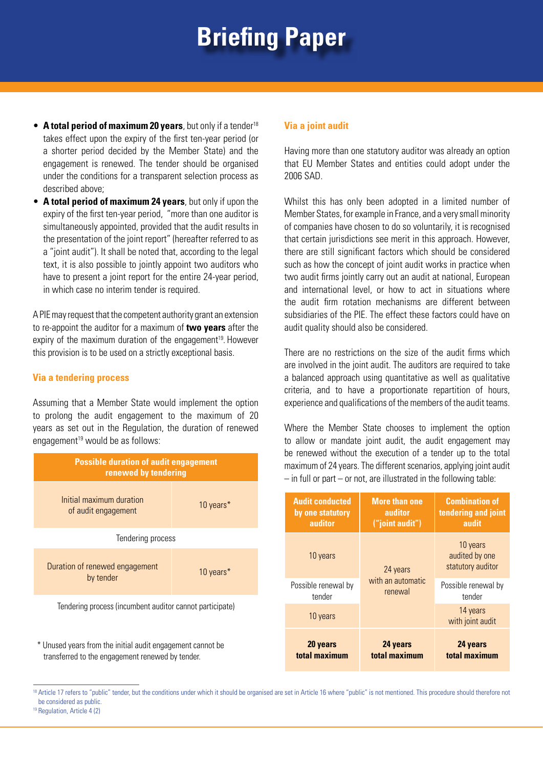## **Briefing Paper**

- **A total period of maximum 20 years**, but only if a tender<sup>18</sup> takes effect upon the expiry of the first ten-year period (or a shorter period decided by the Member State) and the engagement is renewed. The tender should be organised under the conditions for a transparent selection process as described above;
- **A total period of maximum 24 years**, but only if upon the expiry of the first ten-year period, "more than one auditor is simultaneously appointed, provided that the audit results in the presentation of the joint report" (hereafter referred to as a "joint audit"). It shall be noted that, according to the legal text, it is also possible to jointly appoint two auditors who have to present a joint report for the entire 24-year period, in which case no interim tender is required.

A PIE may request that the competent authority grant an extension to re-appoint the auditor for a maximum of **two years** after the expiry of the maximum duration of the engagement<sup>19</sup>. However this provision is to be used on a strictly exceptional basis.

#### **Via a tendering process**

Assuming that a Member State would implement the option to prolong the audit engagement to the maximum of 20 years as set out in the Regulation, the duration of renewed engagement $19$  would be as follows:



transferred to the engagement renewed by tender.

#### **Via a joint audit**

Having more than one statutory auditor was already an option that EU Member States and entities could adopt under the 2006 SAD.

Whilst this has only been adopted in a limited number of Member States, for example in France, and a very small minority of companies have chosen to do so voluntarily, it is recognised that certain jurisdictions see merit in this approach. However, there are still significant factors which should be considered such as how the concept of joint audit works in practice when two audit firms jointly carry out an audit at national, European and international level, or how to act in situations where the audit firm rotation mechanisms are different between subsidiaries of the PIE. The effect these factors could have on audit quality should also be considered.

There are no restrictions on the size of the audit firms which are involved in the joint audit. The auditors are required to take a balanced approach using quantitative as well as qualitative criteria, and to have a proportionate repartition of hours, experience and qualifications of the members of the audit teams.

Where the Member State chooses to implement the option to allow or mandate joint audit, the audit engagement may be renewed without the execution of a tender up to the total maximum of 24 years. The different scenarios, applying joint audit  $-$  in full or part  $-$  or not, are illustrated in the following table:

| <b>Audit conducted</b> | <b>More than one</b> | <b>Combination of</b>                           |
|------------------------|----------------------|-------------------------------------------------|
| by one statutory       | auditor              | tendering and joint                             |
| auditor                | ("joint audit")      | audit                                           |
| 10 years               | 24 years             | 10 years<br>audited by one<br>statutory auditor |
| Possible renewal by    | with an automatic    | Possible renewal by                             |
| tender                 | renewal              | tender                                          |
| 10 years               |                      | 14 years<br>with joint audit                    |
| 20 years               | 24 years             | 24 years                                        |
| total maximum          | total maximum        | total maximum                                   |

18 Article 17 refers to "public" tender, but the conditions under which it should be organised are set in Article 16 where "public" is not mentioned. This procedure should therefore not be considered as public.

<sup>&</sup>lt;sup>19</sup> Regulation, Article 4 (2)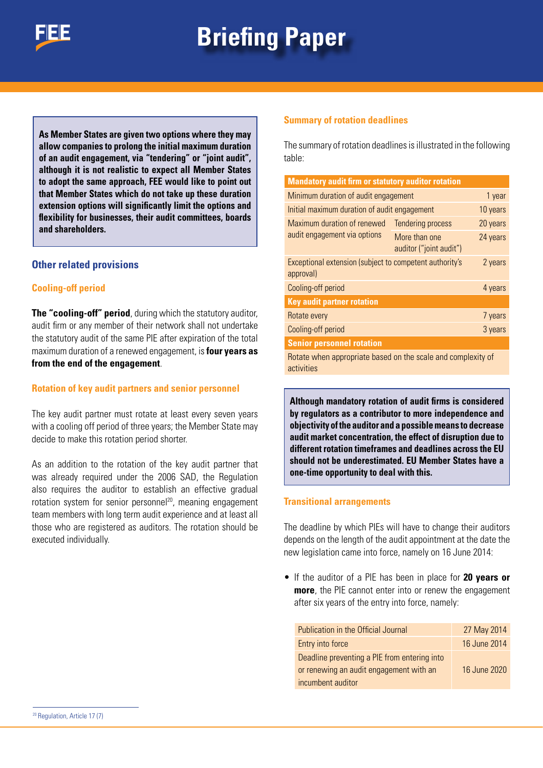

# **Briefing Paper Briefing Paper**

**As Member States are given two options where they may allow companies to prolong the initial maximum duration of an audit engagement, via "tendering" or "joint audit", although it is not realistic to expect all Member States to adopt the same approach, FEE would like to point out that Member States which do not take up these duration extension options will significantly limit the options and flexibility for businesses, their audit committees, boards and shareholders.**

#### **Other related provisions**

#### **Cooling-off period**

**The "cooling-off" period**, during which the statutory auditor, audit firm or any member of their network shall not undertake the statutory audit of the same PIE after expiration of the total maximum duration of a renewed engagement, is **four years as from the end of the engagement**.

#### **Rotation of key audit partners and senior personnel**

The key audit partner must rotate at least every seven years with a cooling off period of three years; the Member State may decide to make this rotation period shorter.

As an addition to the rotation of the key audit partner that was already required under the 2006 SAD, the Regulation also requires the auditor to establish an effective gradual rotation system for senior personnel<sup>20</sup>, meaning engagement team members with long term audit experience and at least all those who are registered as auditors. The rotation should be executed individually.

#### **Summary of rotation deadlines**

The summary of rotation deadlines is illustrated in the following table:

| <b>Mandatory audit firm or statutory auditor rotation</b>                  |                                          |          |
|----------------------------------------------------------------------------|------------------------------------------|----------|
| Minimum duration of audit engagement                                       |                                          | 1 year   |
| Initial maximum duration of audit engagement                               |                                          | 10 years |
| Maximum duration of renewed<br>audit engagement via options                | <b>Tendering process</b>                 | 20 years |
|                                                                            | More than one<br>auditor ("joint audit") | 24 years |
| Exceptional extension (subject to competent authority's<br>approval)       |                                          | 2 years  |
| Cooling-off period                                                         |                                          | 4 years  |
| <b>Key audit partner rotation</b>                                          |                                          |          |
| Rotate every                                                               |                                          | 7 years  |
| Cooling-off period                                                         |                                          | 3 years  |
| <b>Senior personnel rotation</b>                                           |                                          |          |
| Rotate when appropriate based on the scale and complexity of<br>activities |                                          |          |

**Although mandatory rotation of audit firms is considered by regulators as a contributor to more independence and objectivity of the auditor and a possible means to decrease audit market concentration, the effect of disruption due to different rotation timeframes and deadlines across the EU should not be underestimated. EU Member States have a one-time opportunity to deal with this.**

#### **Transitional arrangements**

The deadline by which PIEs will have to change their auditors depends on the length of the audit appointment at the date the new legislation came into force, namely on 16 June 2014:

• If the auditor of a PIE has been in place for **20 years or more**, the PIE cannot enter into or renew the engagement after six years of the entry into force, namely:

| Publication in the Official Journal          | 27 May 2014  |
|----------------------------------------------|--------------|
| Entry into force                             | 16 June 2014 |
| Deadline preventing a PIE from entering into |              |
| or renewing an audit engagement with an      | 16 June 2020 |
| incumbent auditor                            |              |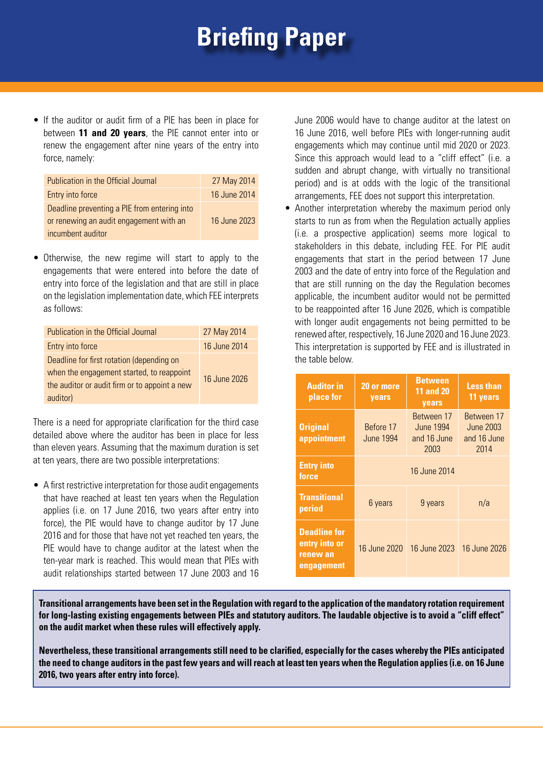## **Briefing Paper**

• If the auditor or audit firm of a PIE has been in place for between **11 and 20 years**, the PIE cannot enter into or renew the engagement after nine years of the entry into force, namely:

| Publication in the Official Journal                                                     | 27 May 2014  |
|-----------------------------------------------------------------------------------------|--------------|
| Entry into force                                                                        | 16 June 2014 |
| Deadline preventing a PIE from entering into<br>or renewing an audit engagement with an | 16 June 2023 |
| incumbent auditor                                                                       |              |

• Otherwise, the new regime will start to apply to the engagements that were entered into before the date of entry into force of the legislation and that are still in place on the legislation implementation date, which FEE interprets as follows:

| Publication in the Official Journal           | 27 May 2014  |
|-----------------------------------------------|--------------|
| Entry into force                              | 16 June 2014 |
| Deadline for first rotation (depending on     |              |
| when the engagement started, to reappoint     | 16 June 2026 |
| the auditor or audit firm or to appoint a new |              |
| auditor)                                      |              |

There is a need for appropriate clarification for the third case detailed above where the auditor has been in place for less than eleven years. Assuming that the maximum duration is set at ten years, there are two possible interpretations:

• A first restrictive interpretation for those audit engagements that have reached at least ten years when the Regulation applies (i.e. on 17 June 2016, two years after entry into force), the PIE would have to change auditor by 17 June 2016 and for those that have not yet reached ten years, the PIE would have to change auditor at the latest when the ten-year mark is reached. This would mean that PIEs with audit relationships started between 17 June 2003 and 16 June 2006 would have to change auditor at the latest on 16 June 2016, well before PIEs with longer-running audit engagements which may continue until mid 2020 or 2023. Since this approach would lead to a "cliff effect" (i.e. a sudden and abrupt change, with virtually no transitional period) and is at odds with the logic of the transitional arrangements, FEE does not support this interpretation.

• Another interpretation whereby the maximum period only starts to run as from when the Regulation actually applies (i.e. a prospective application) seems more logical to stakeholders in this debate, including FEE. For PIE audit engagements that start in the period between 17 June 2003 and the date of entry into force of the Regulation and that are still running on the day the Regulation becomes applicable, the incumbent auditor would not be permitted to be reappointed after 16 June 2026, which is compatible with longer audit engagements not being permitted to be renewed after, respectively, 16 June 2020 and 16 June 2023. This interpretation is supported by FEE and is illustrated in the table below.

| <b>Auditor in</b><br>place for                                 | 20 or more<br>years    | <b>Between</b><br><b>11 and 20</b><br>years           | <b>Less than</b><br>11 years                   |
|----------------------------------------------------------------|------------------------|-------------------------------------------------------|------------------------------------------------|
| <b>Original</b><br>appointment                                 | Before 17<br>June 1994 | <b>Between 17</b><br>June 1994<br>and 16 June<br>2003 | Between 17<br>June 2003<br>and 16 June<br>2014 |
| <b>Entry into</b><br>force                                     |                        | 16 June 2014                                          |                                                |
| <b>Transitional</b><br>period                                  | 6 years                | 9 years                                               | n/a                                            |
| <b>Deadline for</b><br>entry into or<br>renew an<br>engagement | 16 June 2020           | 16 June 2023                                          | 16 June 2026                                   |

**Transitional arrangements have been set in the Regulation with regard to the application of the mandatory rotation requirement for long-lasting existing engagements between PIEs and statutory auditors. The laudable objective is to avoid a "cliff effect" on the audit market when these rules will effectively apply.**

**Nevertheless, these transitional arrangements still need to be clarified, especially for the cases whereby the PIEs anticipated the need to change auditors in the past few years and will reach at least ten years when the Regulation applies (i.e. on 16 June 2016, two years after entry into force).**